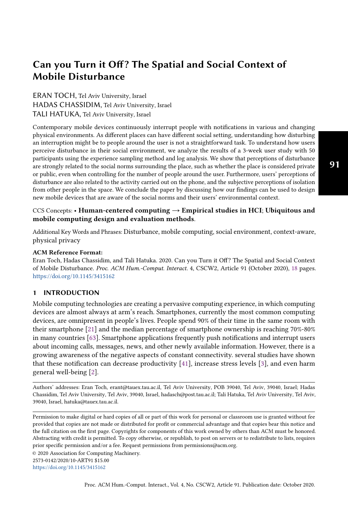# ERAN TOCH, Tel Aviv University, Israel HADAS CHASSIDIM, Tel Aviv University, Israel TALI HATUKA, Tel Aviv University, Israel

Contemporary mobile devices continuously interrupt people with notifications in various and changing physical environments. As different places can have different social setting, understanding how disturbing an interruption might be to people around the user is not a straightforward task. To understand how users perceive disturbance in their social environment, we analyze the results of a 3-week user study with 50 participants using the experience sampling method and log analysis. We show that perceptions of disturbance are strongly related to the social norms surrounding the place, such as whether the place is considered private or public, even when controlling for the number of people around the user. Furthermore, users' perceptions of disturbance are also related to the activity carried out on the phone, and the subjective perceptions of isolation from other people in the space. We conclude the paper by discussing how our findings can be used to design new mobile devices that are aware of the social norms and their users' environmental context.

## CCS Concepts: • Human-centered computing  $\rightarrow$  Empirical studies in HCI; Ubiquitous and mobile computing design and evaluation methods.

Additional Key Words and Phrases: Disturbance, mobile computing, social environment, context-aware, physical privacy

## ACM Reference Format:

Eran Toch, Hadas Chassidim, and Tali Hatuka. 2020. Can you Turn it Off? The Spatial and Social Context of Mobile Disturbance. Proc. ACM Hum.-Comput. Interact. 4, CSCW2, Article 91 (October 2020), 18 pages. https://doi.org/10.1145/3415162

## 1 INTRODUCTION

Mobile computing technologies are creating a pervasive computing experience, in which computing devices are almost always at arm's reach. Smartphones, currently the most common computing devices, are omnipresent in people's lives. People spend 90% of their time in the same room with their smartphone [21] and the median percentage of smartphone ownership is reaching 70%-80% in many countries [63]. Smartphone applications frequently push notifications and interrupt users about incoming calls, messages, news, and other newly available information. However, there is a growing awareness of the negative aspects of constant connectivity. several studies have shown that these notification can decrease productivity [41], increase stress levels [3], and even harm general well-being [2].

Authors' addresses: Eran Toch, erant@tauex.tau.ac.il, Tel Aviv University, POB 39040, Tel Aviv, 39040, Israel; Hadas Chassidim, Tel Aviv University, Tel Aviv, 39040, Israel, hadasch@post.tau.ac.il; Tali Hatuka, Tel Aviv University, Tel Aviv, 39040, Israel, hatuka@tauex.tau.ac.il.

Permission to make digital or hard copies of all or part of this work for personal or classroom use is granted without fee provided that copies are not made or distributed for profit or commercial advantage and that copies bear this notice and the full citation on the first page. Copyrights for components of this work owned by others than ACM must be honored. Abstracting with credit is permitted. To copy otherwise, or republish, to post on servers or to redistribute to lists, requires prior specific permission and/or a fee. Request permissions from permissions@acm.org.

© 2020 Association for Computing Machinery.

2573-0142/2020/10-ART91 \$15.00

https://doi.org/10.1145/3415162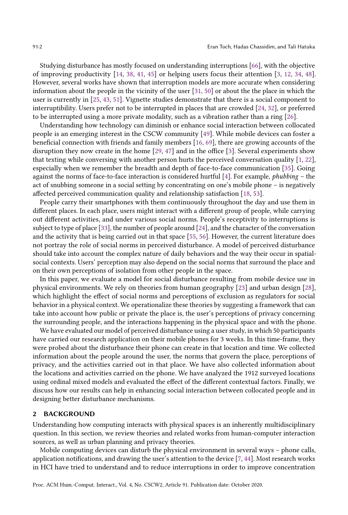Studying disturbance has mostly focused on understanding interruptions [66], with the objective of improving productivity [14, 38, 41, 45] or helping users focus their attention [3, 12, 34, 48]. However, several works have shown that interruption models are more accurate when considering information about the people in the vicinity of the user [31, 50] or about the the place in which the user is currently in [25, 43, 51]. Vignette studies demonstrate that there is a social component to interruptibility. Users prefer not to be interrupted in places that are crowded [24, 32], or preferred to be interrupted using a more private modality, such as a vibration rather than a ring [26].

Understanding how technology can diminish or enhance social interaction between collocated people is an emerging interest in the CSCW community [49]. While mobile devices can foster a beneficial connection with friends and family members [16, 69], there are growing accounts of the disruption they now create in the home [29, 47] and in the office [3]. Several experiments show that texting while conversing with another person hurts the perceived conversation quality [1, 22], especially when we remember the breadth and depth of face-to-face communication [35]. Going against the norms of face-to-face interaction is considered hurtful  $[4]$ . For example, *phubbing* – the act of snubbing someone in a social setting by concentrating on one's mobile phone  $-$  is negatively affected perceived communication quality and relationship satisfaction [18, 53].

People carry their smartphones with them continuously throughout the day and use them in different places. In each place, users might interact with a different group of people, while carrying out different activities, and under various social norms. People's receptivity to interruptions is subject to type of place [33], the number of people around [24], and the character of the conversation and the activity that is being carried out in that space [55, 56]. However, the current literature does not portray the role of social norms in perceived disturbance. A model of perceived disturbance should take into account the complex nature of daily behaviors and the way their occur in spatialsocial contexts. Users' perception may also depend on the social norms that surround the place and on their own perceptions of isolation from other people in the space.

In this paper, we evaluate a model for social disturbance resulting from mobile device use in physical environments. We rely on theories from human geography [23] and urban design [28], which highlight the effect of social norms and perceptions of exclusion as regulators for social behavior in a physical context. We operationalize these theories by suggesting a framework that can take into account how public or private the place is, the user's perceptions of privacy concerning the surrounding people, and the interactions happening in the physical space and with the phone.

We have evaluated our model of perceived disturbance using a user study, in which 50 participants have carried our research application on their mobile phones for 3 weeks. In this time-frame, they were probed about the disturbance their phone can create in that location and time. We collected information about the people around the user, the norms that govern the place, perceptions of privacy, and the activities carried out in that place. We have also collected information about the locations and activities carried on the phone. We have analyzed the 1912 surveyed locations using ordinal mixed models and evaluated the effect of the different contextual factors. Finally, we discuss how our results can help in enhancing social interaction between collocated people and in designing better disturbance mechanisms.

## 2 BACKGROUND

Understanding how computing interacts with physical spaces is an inherently multidisciplinary question. In this section, we review theories and related works from human-computer interaction sources, as well as urban planning and privacy theories.

Mobile computing devices can disturb the physical environment in several ways  $-$  phone calls, application notifications, and drawing the user's attention to the device [7, 44]. Most research works in HCI have tried to understand and to reduce interruptions in order to improve concentration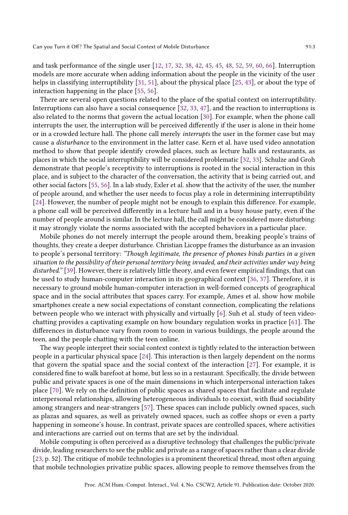and task performance of the single user [12, 17, 32, 38, 42, 45, 45, 48, 52, 59, 60, 66]. Interruption models are more accurate when adding information about the people in the vicinity of the user helps in classifying interruptibility [31, 51], about the physical place [25, 43], or about the type of interaction happening in the place [55, 56].

There are several open questions related to the place of the spatial context on interruptibility. Interruptions can also have a social consequence [32, 33, 47], and the reaction to interruptions is also related to the norms that govern the actual location [30]. For example, when the phone call interrupts the user, the interruption will be perceived differently if the user is alone in their home or in a crowded lecture hall. The phone call merely interrupts the user in the former case but may cause a disturbance to the environment in the latter case. Kern et al. have used video annotation method to show that people identify crowded places, such as lecture halls and restaurants, as places in which the social interruptibility will be considered problematic [32, 33]. Schulze and Groh demonstrate that people's receptivity to interruptions is rooted in the social interaction in this place, and is subject to the character of the conversation, the activity that is being carried out, and other social factors [55, 56]. In a lab study, Exler et al. show that the activity of the user, the number of people around, and whether the user needs to focus play a role in determining interruptibility [24]. However, the number of people might not be enough to explain this difference. For example, a phone call will be perceived differently in a lecture hall and in a busy house party, even if the number of people around is similar. In the lecture hall, the call might be considered more disturbing: it may strongly violate the norms associated with the accepted behaviors in a particular place.

Mobile phones do not merely interrupt the people around them, breaking people's trains of thoughts, they create a deeper disturbance. Christian Licoppe frames the disturbance as an invasion to people's personal territory: "Though legitimate, the presence of phones binds parties in a given situation to the possibility of their personal territory being invaded, and their activities under way being disturbed." [39]. However, there is relatively little theory, and even fewer empirical findings, that can be used to study human-computer interaction in its geographical context [36, 37]. Therefore, it is necessary to ground mobile human-computer interaction in well-formed concepts of geographical space and in the social attributes that spaces carry. For example, Ames et al. show how mobile smartphones create a new social expectations of constant connection, complicating the relations between people who we interact with physically and virtually [6]. Suh et al. study of teen videochatting provides a captivating example on how boundary regulation works in practice [61]. The differences in disturbance vary from room to room in various buildings, the people around the teen, and the people chatting with the teen online.

The way people interpret their social context context is tightly related to the interaction between people in a particular physical space [24]. This interaction is then largely dependent on the norms that govern the spatial space and the social context of the interaction [27]. For example, it is considered fine to walk barefoot at home, but less so in a restaurant. Specifically, the divide between public and private spaces is one of the main dimensions in which interpersonal interaction takes place [70]. We rely on the definition of public spaces as shared spaces that facilitate and regulate interpersonal relationships, allowing heterogeneous individuals to coexist, with fluid sociability among strangers and near-strangers [57]. These spaces can include publicly owned spaces, such as plazas and squares, as well as privately owned spaces, such as coffee shops or even a party happening in someone's house. In contrast, private spaces are controlled spaces, where activities and interactions are carried out on terms that are set by the individual.

Mobile computing is often perceived as a disruptive technology that challenges the public/private divide, leading researchers to see the public and private as a range of spaces rather than a clear divide [23, p. 52]. The critique of mobile technologies is a prominent theoretical thread, most often arguing that mobile technologies privatize public spaces, allowing people to remove themselves from the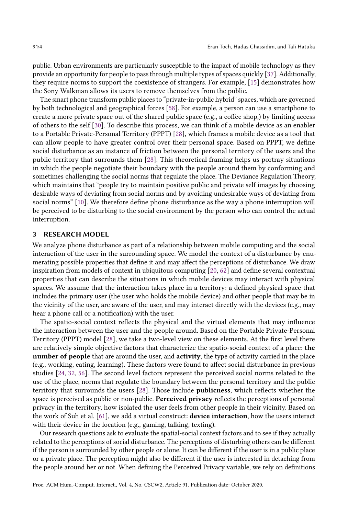public. Urban environments are particularly susceptible to the impact of mobile technology as they provide an opportunity for people to pass through multiple types of spaces quickly [37]. Additionally, they require norms to support the coexistence of strangers. For example, [15] demonstrates how the Sony Walkman allows its users to remove themselves from the public.

The smart phone transform public places to "private-in-public hybrid" spaces, which are governed by both technological and geographical forces [58]. For example, a person can use a smartphone to create a more private space out of the shared public space (e.g., a coffee shop,) by limiting access of others to the self [30]. To describe this process, we can think of a mobile device as an enabler to a Portable Private-Personal Territory (PPPT) [28], which frames a mobile device as a tool that can allow people to have greater control over their personal space. Based on PPPT, we define social disturbance as an instance of friction between the personal territory of the users and the public territory that surrounds them [28]. This theoretical framing helps us portray situations in which the people negotiate their boundary with the people around them by conforming and sometimes challenging the social norms that regulate the place. The Deviance Regulation Theory, which maintains that "people try to maintain positive public and private self images by choosing desirable ways of deviating from social norms and by avoiding undesirable ways of deviating from social norms" [10]. We therefore define phone disturbance as the way a phone interruption will be perceived to be disturbing to the social environment by the person who can control the actual interruption.

## 3 RESEARCH MODEL

We analyze phone disturbance as part of a relationship between mobile computing and the social interaction of the user in the surrounding space. We model the context of a disturbance by enumerating possible properties that define it and may affect the perceptions of disturbance. We draw inspiration from models of context in ubiquitous computing [20, 62] and define several contextual properties that can describe the situations in which mobile devices may interact with physical spaces. We assume that the interaction takes place in a territory: a defined physical space that includes the primary user (the user who holds the mobile device) and other people that may be in the vicinity of the user, are aware of the user, and may interact directly with the devices (e.g., may hear a phone call or a notification) with the user.

The spatio-social context reflects the physical and the virtual elements that may influence the interaction between the user and the people around. Based on the Portable Private-Personal Territory (PPPT) model [28], we take a two-level view on these elements. At the first level there are relatively simple objective factors that characterize the spatio-social context of a place: the number of people that are around the user, and activity, the type of activity carried in the place (e.g., working, eating, learning). These factors were found to affect social disturbance in previous studies [24, 32, 56]. The second level factors represent the perceived social norms related to the use of the place, norms that regulate the boundary between the personal territory and the public territory that surrounds the users [28]. Those include publicness, which reflects whether the space is perceived as public or non-public. Perceived privacy reflects the perceptions of personal privacy in the territory, how isolated the user feels from other people in their vicinity. Based on the work of Suh et al. [61], we add a virtual construct: device interaction, how the users interact with their device in the location (e.g., gaming, talking, texting).

Our research questions ask to evaluate the spatial-social context factors and to see if they actually related to the perceptions of social disturbance. The perceptions of disturbing others can be different if the person is surrounded by other people or alone. It can be different if the user is in a public place or a private place. The perception might also be different if the user is interested in detaching from the people around her or not. When defining the Perceived Privacy variable, we rely on definitions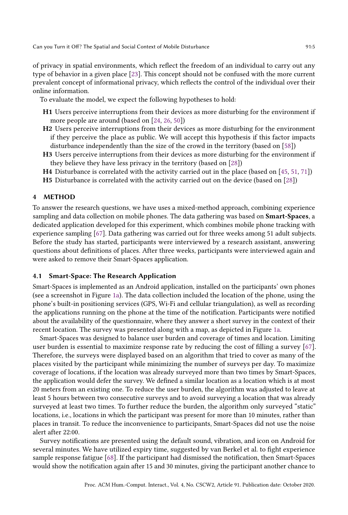of privacy in spatial environments, which reflect the freedom of an individual to carry out any type of behavior in a given place [23]. This concept should not be confused with the more current prevalent concept of informational privacy, which reflects the control of the individual over their online information.

To evaluate the model, we expect the following hypotheses to hold:

- H1 Users perceive interruptions from their devices as more disturbing for the environment if more people are around (based on [24, 26, 50])
- H2 Users perceive interruptions from their devices as more disturbing for the environment if they perceive the place as public. We will accept this hypothesis if this factor impacts disturbance independently than the size of the crowd in the territory (based on [58])
- H3 Users perceive interruptions from their devices as more disturbing for the environment if they believe they have less privacy in the territory (based on [28])
- H4 Disturbance is correlated with the activity carried out in the place (based on [45, 51, 71])
- H5 Disturbance is correlated with the activity carried out on the device (based on [28])

## 4 METHOD

To answer the research questions, we have uses a mixed-method approach, combining experience sampling and data collection on mobile phones. The data gathering was based on **Smart-Spaces**, a dedicated application developed for this experiment, which combines mobile phone tracking with experience sampling [67]. Data gathering was carried out for three weeks among 51 adult subjects. Before the study has started, participants were interviewed by a research assistant, answering questions about definitions of places. After three weeks, participants were interviewed again and were asked to remove their Smart-Spaces application.

#### 4.1 Smart-Space: The Research Application

Smart-Spaces is implemented as an Android application, installed on the participants' own phones (see a screenshot in Figure 1a). The data collection included the location of the phone, using the phone's built-in positioning services (GPS, Wi-Fi and cellular triangulation), as well as recording the applications running on the phone at the time of the notification. Participants were notified about the availability of the questionnaire, where they answer a short survey in the context of their recent location. The survey was presented along with a map, as depicted in Figure 1a.

Smart-Spaces was designed to balance user burden and coverage of times and location. Limiting user burden is essential to maximize response rate by reducing the cost of filling a survey [67]. Therefore, the surveys were displayed based on an algorithm that tried to cover as many of the places visited by the participant while minimizing the number of surveys per day. To maximize coverage of locations, if the location was already surveyed more than two times by Smart-Spaces, the application would defer the survey. We defined a similar location as a location which is at most 20 meters from an existing one. To reduce the user burden, the algorithm was adjusted to leave at least 5 hours between two consecutive surveys and to avoid surveying a location that was already surveyed at least two times. To further reduce the burden, the algorithm only surveyed "static" locations, i.e., locations in which the participant was present for more than 10 minutes, rather than places in transit. To reduce the inconvenience to participants, Smart-Spaces did not use the noise alert after 22:00.

Survey notifications are presented using the default sound, vibration, and icon on Android for several minutes. We have utilized expiry time, suggested by van Berkel et al. to fight experience sample response fatigue [68]. If the participant had dismissed the notification, then Smart-Spaces would show the notification again after 15 and 30 minutes, giving the participant another chance to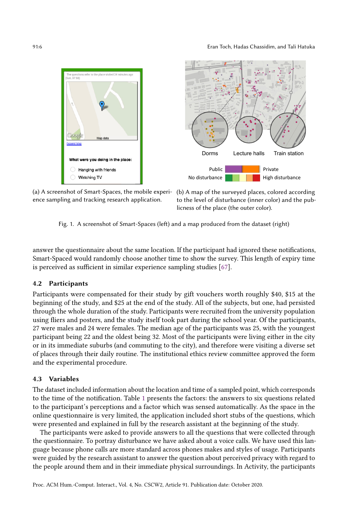



(a) A screenshot of Smart-Spaces, the mobile experi-(b) A map of the surveyed places, colored according ence sampling and tracking research application.

to the level of disturbance (inner color) and the publicness of the place (the outer color).

Fig. 1. A screenshot of Smart-Spaces (left) and a map produced from the dataset (right)

answer the questionnaire about the same location. If the participant had ignored these notifications, Smart-Spaced would randomly choose another time to show the survey. This length of expiry time is perceived as sufficient in similar experience sampling studies [67].

## 4.2 Participants

Participants were compensated for their study by gift vouchers worth roughly \$40, \$15 at the beginning of the study, and \$25 at the end of the study. All of the subjects, but one, had persisted through the whole duration of the study. Participants were recruited from the university population using fliers and posters, and the study itself took part during the school year. Of the participants, 27 were males and 24 were females. The median age of the participants was 25, with the youngest participant being 22 and the oldest being 32. Most of the participants were living either in the city or in its immediate suburbs (and commuting to the city), and therefore were visiting a diverse set of places through their daily routine. The institutional ethics review committee approved the form and the experimental procedure.

## 4.3 Variables

The dataset included information about the location and time of a sampled point, which corresponds to the time of the notification. Table 1 presents the factors: the answers to six questions related to the participant's perceptions and a factor which was sensed automatically. As the space in the online questionnaire is very limited, the application included short stubs of the questions, which were presented and explained in full by the research assistant at the beginning of the study.

The participants were asked to provide answers to all the questions that were collected through the questionnaire. To portray disturbance we have asked about a voice calls. We have used this language because phone calls are more standard across phones makes and styles of usage. Participants were guided by the research assistant to answer the question about perceived privacy with regard to the people around them and in their immediate physical surroundings. In Activity, the participants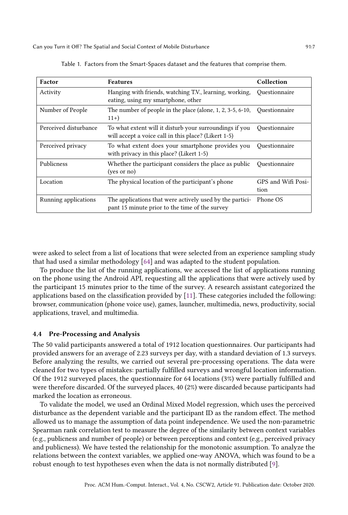| Factor                | <b>Features</b>                                                                                                 | Collection                 |
|-----------------------|-----------------------------------------------------------------------------------------------------------------|----------------------------|
| Activity              | Hanging with friends, watching T.V., learning, working,<br>eating, using my smartphone, other                   | Ouestionnaire              |
| Number of People      | The number of people in the place (alone, $1, 2, 3-5, 6-10$ ,<br>$11+)$                                         | Ouestionnaire              |
| Perceived disturbance | To what extent will it disturb your surroundings if you<br>will accept a voice call in this place? (Likert 1-5) | Ouestionnaire              |
| Perceived privacy     | To what extent does your smartphone provides you<br>with privacy in this place? (Likert 1-5)                    | Ouestionnaire              |
| Publicness            | Whether the participant considers the place as public<br>(yes or no)                                            | Ouestionnaire              |
| Location              | The physical location of the participant's phone                                                                | GPS and Wifi Posi-<br>tion |
| Running applications  | The applications that were actively used by the partici-<br>pant 15 minute prior to the time of the survey      | Phone OS                   |

Table 1. Factors from the Smart-Spaces dataset and the features that comprise them.

were asked to select from a list of locations that were selected from an experience sampling study that had used a similar methodology [64] and was adapted to the student population.

To produce the list of the running applications, we accessed the list of applications running on the phone using the Android API, requesting all the applications that were actively used by the participant 15 minutes prior to the time of the survey. A research assistant categorized the applications based on the classification provided by [11]. These categories included the following: browser, communication (phone voice use), games, launcher, multimedia, news, productivity, social applications, travel, and multimedia.

## 4.4 Pre-Processing and Analysis

The 50 valid participants answered a total of 1912 location questionnaires. Our participants had provided answers for an average of 2.23 surveys per day, with a standard deviation of 1.3 surveys. Before analyzing the results, we carried out several pre-processing operations. The data were cleaned for two types of mistakes: partially fulfilled surveys and wrongful location information. Of the 1912 surveyed places, the questionnaire for 64 locations (3%) were partially fulfilled and were therefore discarded. Of the surveyed places, 40 (2%) were discarded because participants had marked the location as erroneous.

To validate the model, we used an Ordinal Mixed Model regression, which uses the perceived disturbance as the dependent variable and the participant ID as the random effect. The method allowed us to manage the assumption of data point independence. We used the non-parametric Spearman rank correlation test to measure the degree of the similarity between context variables (e.g., publicness and number of people) or between perceptions and context (e.g., perceived privacy and publicness). We have tested the relationship for the monotonic assumption. To analyze the relations between the context variables, we applied one-way ANOVA, which was found to be a robust enough to test hypotheses even when the data is not normally distributed [9].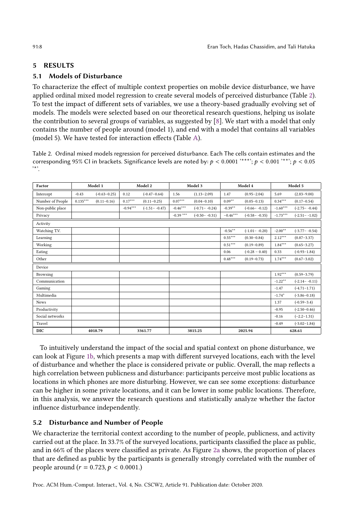## 5 RESULTS

## 5.1 Models of Disturbance

To characterize the effect of multiple context properties on mobile device disturbance, we have applied ordinal mixed model regression to create several models of perceived disturbance (Table 2). To test the impact of different sets of variables, we use a theory-based gradually evolving set of models. The models were selected based on our theoretical research questions, helping us isolate the contribution to several groups of variables, as suggested by [8]. We start with a model that only contains the number of people around (model 1), and end with a model that contains all variables (model 5). We have tested for interaction effects (Table A).

Table 2. Ordinal mixed models regression for perceived disturbance. Each The cells contain estimates and the corresponding 95% CI in brackets. Significance levels are noted by:  $p < 0.0001$  '\*\*\*';  $p < 0.001$ '\*\*';  $p < 0.05$ '\*'.

| Factor           |            | Model 1          |            | Model 2           |            | Model 3           |            | Model 4           |            | Model 5           |
|------------------|------------|------------------|------------|-------------------|------------|-------------------|------------|-------------------|------------|-------------------|
| Intercept        | $-0.43$    | $(-0.63 - 0.25)$ | 0.12       | $(-0.47 - 0.64)$  | 1.56       | $(1.13 - 2.09)$   | 1.47       | $(0.95 - 2.04)$   | 5.69       | $(2.83 - 9.00)$   |
| Number of People | $0.135***$ | $(0.11 - 0.16)$  | $0.17***$  | $(0.11 - 0.25)$   | $0.07***$  | $(0.04 - 0.10)$   | $0.09**$   | $(0.05 - 0.13)$   | $0.34***$  | $(0.17 - 0.54)$   |
| Non-public place |            |                  | $-0.94***$ | $(-1.51 - -0.47)$ | $-0.46***$ | $(-0.71 - -0.24)$ | $-0.39**$  | $(-0.66 - -0.12)$ | $-1.60***$ | $(-2.75 - -0.44)$ |
| Privacy          |            |                  |            |                   | $-0.39***$ | $(-0.50 - -0.31)$ | $-0.46***$ | $(-0.58 - -0.35)$ | $-1.73***$ | $(-2.51 - -1.02)$ |
| Activity         |            |                  |            |                   |            |                   |            |                   |            |                   |
| Watching T.V.    |            |                  |            |                   |            |                   | $-0.56***$ | $(-1.01 - -0.20)$ | $-2.00**$  | $(-3.77 - -0.54)$ |
| Learning         |            |                  |            |                   |            |                   | $0.55***$  | $(0.30 - 0.84)$   | $2.12***$  | $(0.87 - 3.37)$   |
| Working          |            |                  |            |                   |            |                   | $0.51***$  | $(0.19 - 0.89)$   | $1.84***$  | $(0.65 - 3.27)$   |
| Eating           |            |                  |            |                   |            |                   | 0.06       | $(-0.28 - 0.40)$  | 0.33       | $(-0.93 - 1.84)$  |
| Other            |            |                  |            |                   |            |                   | $0.48***$  | $(0.19 - 0.73)$   | $1.74***$  | $(0.67 - 3.02)$   |
| Device           |            |                  |            |                   |            |                   |            |                   |            |                   |
| Browsing         |            |                  |            |                   |            |                   |            |                   | $1.92***$  | $(0.59 - 3.79)$   |
| Communication    |            |                  |            |                   |            |                   |            |                   | $-1.22***$ | $(-2.14 - -0.11)$ |
| Gaming           |            |                  |            |                   |            |                   |            |                   | $-1.47$    | $(-4.71 - 1.71)$  |
| Multimedia       |            |                  |            |                   |            |                   |            |                   | $-1.74*$   | $(-3.86 - 0.18)$  |
| News             |            |                  |            |                   |            |                   |            |                   | 1.37       | $(-0.59 - 3.4)$   |
| Productivity     |            |                  |            |                   |            |                   |            |                   | $-0.95$    | $(-2.50 - 0.46)$  |
| Social networks  |            |                  |            |                   |            |                   |            |                   | $-0.16$    | $(-2.2 - 1.31)$   |
| Travel           |            |                  |            |                   |            |                   |            |                   | $-0.49$    | $(-3.02 - 1.84)$  |
| <b>DIC</b>       |            | 4018.79          |            | 3361.77           |            | 3815.25           |            | 2025.94           |            | 628.61            |

To intuitively understand the impact of the social and spatial context on phone disturbance, we can look at Figure 1b, which presents a map with different surveyed locations, each with the level of disturbance and whether the place is considered private or public. Overall, the map reflects a high correlation between publicness and disturbance: participants perceive most public locations as locations in which phones are more disturbing. However, we can see some exceptions: disturbance can be higher in some private locations, and it can be lower in some public locations. Therefore, in this analysis, we answer the research questions and statistically analyze whether the factor influence disturbance independently.

## 5.2 Disturbance and Number of People

We characterize the territorial context according to the number of people, publicness, and activity carried out at the place. In 33.7% of the surveyed locations, participants classified the place as public, and in 66% of the places were classified as private. As Figure 2a shows, the proportion of places that are defined as public by the participants is generally strongly correlated with the number of people around ( $r = 0.723$ ,  $p < 0.0001$ .)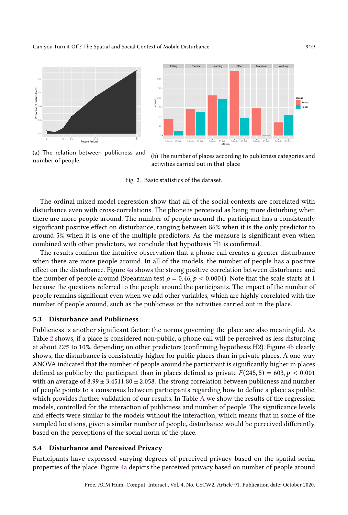



(a) The relation between publicness and number of people.



Fig. 2. Basic statistics of the dataset.

The ordinal mixed model regression show that all of the social contexts are correlated with disturbance even with cross-correlations. The phone is perceived as being more disturbing when there are more people around. The number of people around the participant has a consistently significant positive effect on disturbance, ranging between 86% when it is the only predictor to around 5% when it is one of the multiple predictors. As the measure is significant even when combined with other predictors, we conclude that hypothesis H1 is confirmed.

The results confirm the intuitive observation that a phone call creates a greater disturbance when there are more people around. In all of the models, the number of people has a positive effect on the disturbance. Figure 4a shows the strong positive correlation between disturbance and the number of people around (Spearman test  $\rho = 0.46$ ,  $p < 0.0001$ ). Note that the scale starts at 1 because the questions referred to the people around the participants. The impact of the number of people remains significant even when we add other variables, which are highly correlated with the number of people around, such as the publicness or the activities carried out in the place.

## 5.3 Disturbance and Publicness

Publicness is another significant factor: the norms governing the place are also meaningful. As Table 2 shows, if a place is considered non-public, a phone call will be perceived as less disturbing at about 22% to 10%, depending on other predictors (confirming hypothesis H2). Figure 4b clearly shows, the disturbance is consistently higher for public places than in private places. A one-way ANOVA indicated that the number of people around the participant is significantly higher in places defined as public by the participant than in places defined as private  $F(245, 5) = 603, p < 0.001$ with an average of  $8.99 \pm 3.4511.80 \pm 2.058$ . The strong correlation between publicness and number of people points to a consensus between participants regarding how to define a place as public, which provides further validation of our results. In Table A we show the results of the regression models, controlled for the interaction of publicness and number of people. The significance levels and effects were similar to the models without the interaction, which means that in some of the sampled locations, given a similar number of people, disturbance would be perceived differently, based on the perceptions of the social norm of the place.

#### 5.4 Disturbance and Perceived Privacy

Participants have expressed varying degrees of perceived privacy based on the spatial-social properties of the place. Figure 4a depicts the perceived privacy based on number of people around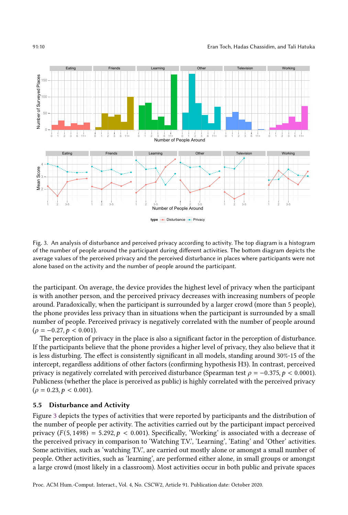

Fig. 3. An analysis of disturbance and perceived privacy according to activity. The top diagram is a histogram of the number of people around the participant during different activities. The bottom diagram depicts the average values of the perceived privacy and the perceived disturbance in places where participants were not alone based on the activity and the number of people around the participant.

the participant. On average, the device provides the highest level of privacy when the participant is with another person, and the perceived privacy decreases with increasing numbers of people around. Paradoxically, when the participant is surrounded by a larger crowd (more than 5 people), the phone provides less privacy than in situations when the participant is surrounded by a small number of people. Perceived privacy is negatively correlated with the number of people around  $(\rho = -0.27, p < 0.001).$ 

The perception of privacy in the place is also a significant factor in the perception of disturbance. If the participants believe that the phone provides a higher level of privacy, they also believe that it is less disturbing. The effect is consistently significant in all models, standing around 30%-15 of the intercept, regardless additions of other factors (confirming hypothesis H3). In contrast, perceived privacy is negatively correlated with perceived disturbance (Spearman test  $\rho = -0.375$ ,  $p < 0.0001$ ). Publicness (whether the place is perceived as public) is highly correlated with the perceived privacy  $(\rho = 0.23, p < 0.001).$ 

#### 5.5 Disturbance and Activity

Figure 3 depicts the types of activities that were reported by participants and the distribution of the number of people per activity. The activities carried out by the participant impact perceived privacy  $(F(5, 1498) = 5.292, p < 0.001)$ . Specifically, 'Working' is associated with a decrease of the perceived privacy in comparison to 'Watching T.V.', 'Learning', 'Eating' and 'Other' activities. Some activities, such as 'watching T.V.', are carried out mostly alone or amongst a small number of people. Other activities, such as 'learning', are performed either alone, in small groups or amongst a large crowd (most likely in a classroom). Most activities occur in both public and private spaces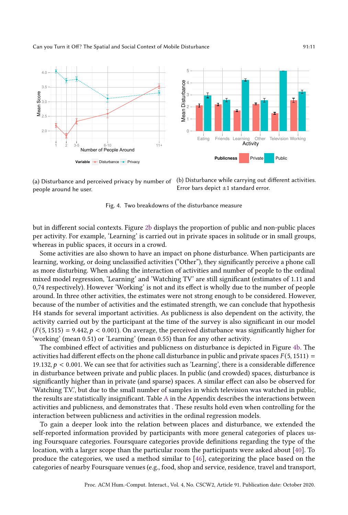

people around he user.

(a) Disturbance and perceived privacy by number of (b) Disturbance while carrying out different activities. Error bars depict  $\pm 1$  standard error.

Fig. 4. Two breakdowns of the disturbance measure

but in different social contexts. Figure 2b displays the proportion of public and non-public places per activity. For example, 'Learning' is carried out in private spaces in solitude or in small groups, whereas in public spaces, it occurs in a crowd.

Some activities are also shown to have an impact on phone disturbance. When participants are learning, working, or doing unclassified activities ("Otherž), they significantly perceive a phone call as more disturbing. When adding the interaction of activities and number of people to the ordinal mixed model regression, 'Learning' and 'Watching TV' are still significant (estimates of 1.11 and 0,74 respectively). However 'Working' is not and its effect is wholly due to the number of people around. In three other activities, the estimates were not strong enough to be considered. However, because of the number of activities and the estimated strength, we can conclude that hypothesis H4 stands for several important activities. As publicness is also dependent on the activity, the activity carried out by the participant at the time of the survey is also significant in our model  $(F(5, 1515) = 9.442, p < 0.001)$ . On average, the perceived disturbance was significantly higher for 'working' (mean 0.51) or 'Learning' (mean 0.55) than for any other activity.

The combined effect of activities and publicness on disturbance is depicted in Figure 4b. The activities had different effects on the phone call disturbance in public and private spaces  $F(5, 1511) =$ 19.132,  $p < 0.001$ . We can see that for activities such as 'Learning', there is a considerable difference in disturbance between private and public places. In public (and crowded) spaces, disturbance is significantly higher than in private (and sparse) spaces. A similar effect can also be observed for 'Watching T.V.', but due to the small number of samples in which television was watched in public, the results are statistically insignificant. Table A in the Appendix describes the interactions between activities and publicness, and demonstrates that . These results hold even when controlling for the interaction between publicness and activities in the ordinal regression models.

To gain a deeper look into the relation between places and disturbance, we extended the self-reported information provided by participants with more general categories of places using Foursquare categories. Foursquare categories provide definitions regarding the type of the location, with a larger scope than the particular room the participants were asked about [40]. To produce the categories, we used a method similar to [46], categorizing the place based on the categories of nearby Foursquare venues (e.g., food, shop and service, residence, travel and transport,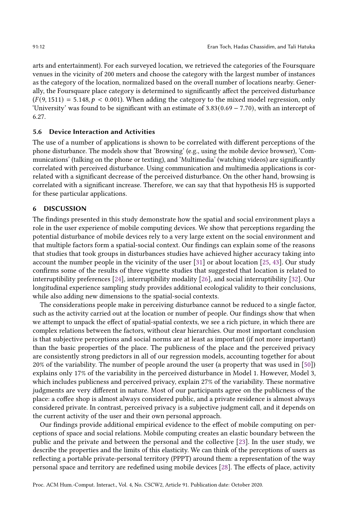arts and entertainment). For each surveyed location, we retrieved the categories of the Foursquare venues in the vicinity of 200 meters and choose the category with the largest number of instances as the category of the location, normalized based on the overall number of locations nearby. Generally, the Foursquare place category is determined to significantly affect the perceived disturbance  $(F(9, 1511) = 5.148, p < 0.001)$ . When adding the category to the mixed model regression, only 'University' was found to be significant with an estimate of 3.83(0.69 − 7.70), with an intercept of 6.27.

## 5.6 Device Interaction and Activities

The use of a number of applications is shown to be correlated with different perceptions of the phone disturbance. The models show that 'Browsing' (e.g., using the mobile device browser), 'Communications' (talking on the phone or texting), and 'Multimedia' (watching videos) are significantly correlated with perceived disturbance. Using communication and multimedia applications is correlated with a significant decrease of the perceived disturbance. On the other hand, browsing is correlated with a significant increase. Therefore, we can say that that hypothesis H5 is supported for these particular applications.

#### 6 DISCUSSION

The findings presented in this study demonstrate how the spatial and social environment plays a role in the user experience of mobile computing devices. We show that perceptions regarding the potential disturbance of mobile devices rely to a very large extent on the social environment and that multiple factors form a spatial-social context. Our findings can explain some of the reasons that studies that took groups in disturbances studies have achieved higher accuracy taking into account the number people in the vicinity of the user [31] or about location [25, 43]. Our study confirms some of the results of three vignette studies that suggested that location is related to interruptibility preferences [24], interruptibility modality [26], and social interruptibility [32]. Our longitudinal experience sampling study provides additional ecological validity to their conclusions, while also adding new dimensions to the spatial-social contexts.

The considerations people make in perceiving disturbance cannot be reduced to a single factor, such as the activity carried out at the location or number of people. Our findings show that when we attempt to unpack the effect of spatial-spatial contexts, we see a rich picture, in which there are complex relations between the factors, without clear hierarchies. Our most important conclusion is that subjective perceptions and social norms are at least as important (if not more important) than the basic properties of the place. The publicness of the place and the perceived privacy are consistently strong predictors in all of our regression models, accounting together for about 20% of the variability. The number of people around the user (a property that was used in [50]) explains only 17% of the variability in the perceived disturbance in Model 1. However, Model 3, which includes publicness and perceived privacy, explain 27% of the variability. These normative judgments are very different in nature. Most of our participants agree on the publicness of the place: a coffee shop is almost always considered public, and a private residence is almost always considered private. In contrast, perceived privacy is a subjective judgment call, and it depends on the current activity of the user and their own personal approach.

Our findings provide additional empirical evidence to the effect of mobile computing on perceptions of space and social relations. Mobile computing creates an elastic boundary between the public and the private and between the personal and the collective [23]. In the user study, we describe the properties and the limits of this elasticity. We can think of the perceptions of users as reflecting a portable private-personal territory (PPPT) around them: a representation of the way personal space and territory are redefined using mobile devices [28]. The effects of place, activity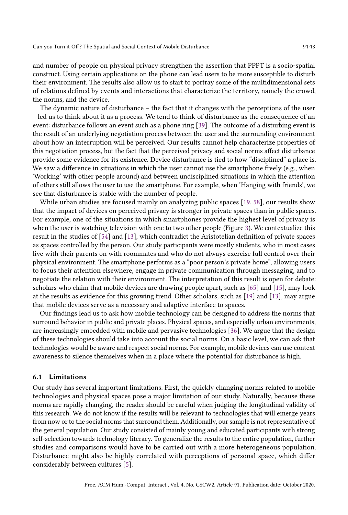and number of people on physical privacy strengthen the assertion that PPPT is a socio-spatial construct. Using certain applications on the phone can lead users to be more susceptible to disturb their environment. The results also allow us to start to portray some of the multidimensional sets of relations defined by events and interactions that characterize the territory, namely the crowd, the norms, and the device.

The dynamic nature of disturbance – the fact that it changes with the perceptions of the user - led us to think about it as a process. We tend to think of disturbance as the consequence of an event: disturbance follows an event such as a phone ring [39]. The outcome of a disturbing event is the result of an underlying negotiation process between the user and the surrounding environment about how an interruption will be perceived. Our results cannot help characterize properties of this negotiation process, but the fact that the perceived privacy and social norms affect disturbance provide some evidence for its existence. Device disturbance is tied to how "disciplined" a place is. We saw a difference in situations in which the user cannot use the smartphone freely (e.g., when 'Working' with other people around) and between undisciplined situations in which the attention of others still allows the user to use the smartphone. For example, when 'Hanging with friends', we see that disturbance is stable with the number of people.

While urban studies are focused mainly on analyzing public spaces [19, 58], our results show that the impact of devices on perceived privacy is stronger in private spaces than in public spaces. For example, one of the situations in which smartphones provide the highest level of privacy is when the user is watching television with one to two other people (Figure 3). We contextualize this result in the studies of [54] and [13], which contradict the Aristotelian definition of private spaces as spaces controlled by the person. Our study participants were mostly students, who in most cases live with their parents on with roommates and who do not always exercise full control over their physical environment. The smartphone performs as a "poor person's private homež, allowing users to focus their attention elsewhere, engage in private communication through messaging, and to negotiate the relation with their environment. The interpretation of this result is open for debate: scholars who claim that mobile devices are drawing people apart, such as [65] and [15], may look at the results as evidence for this growing trend. Other scholars, such as [19] and [13], may argue that mobile devices serve as a necessary and adaptive interface to spaces.

Our findings lead us to ask how mobile technology can be designed to address the norms that surround behavior in public and private places. Physical spaces, and especially urban environments, are increasingly embedded with mobile and pervasive technologies [36]. We argue that the design of these technologies should take into account the social norms. On a basic level, we can ask that technologies would be aware and respect social norms. For example, mobile devices can use context awareness to silence themselves when in a place where the potential for disturbance is high.

## 6.1 Limitations

Our study has several important limitations. First, the quickly changing norms related to mobile technologies and physical spaces pose a major limitation of our study. Naturally, because these norms are rapidly changing, the reader should be careful when judging the longitudinal validity of this research. We do not know if the results will be relevant to technologies that will emerge years from now or to the social norms that surround them. Additionally, our sample is not representative of the general population. Our study consisted of mainly young and educated participants with strong self-selection towards technology literacy. To generalize the results to the entire population, further studies and comparisons would have to be carried out with a more heterogeneous population. Disturbance might also be highly correlated with perceptions of personal space, which differ considerably between cultures [5].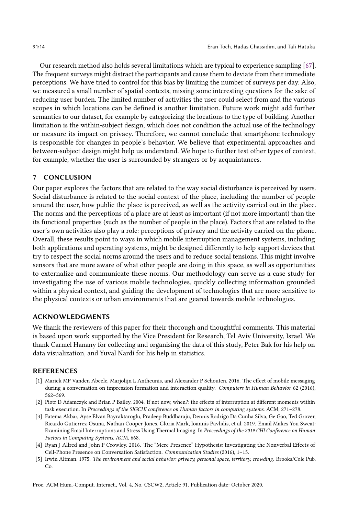Our research method also holds several limitations which are typical to experience sampling [67]. The frequent surveys might distract the participants and cause them to deviate from their immediate perceptions. We have tried to control for this bias by limiting the number of surveys per day. Also, we measured a small number of spatial contexts, missing some interesting questions for the sake of reducing user burden. The limited number of activities the user could select from and the various scopes in which locations can be defined is another limitation. Future work might add further semantics to our dataset, for example by categorizing the locations to the type of building. Another limitation is the within-subject design, which does not condition the actual use of the technology or measure its impact on privacy. Therefore, we cannot conclude that smartphone technology is responsible for changes in people's behavior. We believe that experimental approaches and between-subject design might help us understand. We hope to further test other types of context, for example, whether the user is surrounded by strangers or by acquaintances.

## 7 CONCLUSION

Our paper explores the factors that are related to the way social disturbance is perceived by users. Social disturbance is related to the social context of the place, including the number of people around the user, how public the place is perceived, as well as the activity carried out in the place. The norms and the perceptions of a place are at least as important (if not more important) than the its functional properties (such as the number of people in the place). Factors that are related to the user's own activities also play a role: perceptions of privacy and the activity carried on the phone. Overall, these results point to ways in which mobile interruption management systems, including both applications and operating systems, might be designed differently to help support devices that try to respect the social norms around the users and to reduce social tensions. This might involve sensors that are more aware of what other people are doing in this space, as well as opportunities to externalize and communicate these norms. Our methodology can serve as a case study for investigating the use of various mobile technologies, quickly collecting information grounded within a physical context, and guiding the development of technologies that are more sensitive to the physical contexts or urban environments that are geared towards mobile technologies.

## ACKNOWLEDGMENTS

We thank the reviewers of this paper for their thorough and thoughtful comments. This material is based upon work supported by the Vice President for Research, Tel Aviv University, Israel. We thank Carmel Hanany for collecting and organising the data of this study, Peter Bak for his help on data visualization, and Yuval Nardi for his help in statistics.

#### REFERENCES

- [1] Mariek MP Vanden Abeele, Marjolijn L Antheunis, and Alexander P Schouten. 2016. The effect of mobile messaging during a conversation on impression formation and interaction quality. Computers in Human Behavior 62 (2016),  $562 - 569.$
- [2] Piotr D Adamczyk and Brian P Bailey. 2004. If not now, when?: the effects of interruption at different moments within task execution. In Proceedings of the SIGCHI conference on Human factors in computing systems. ACM, 271-278.
- [3] Fatema Akbar, Ayse Elvan Bayraktaroglu, Pradeep Buddharaju, Dennis Rodrigo Da Cunha Silva, Ge Gao, Ted Grover, Ricardo Gutierrez-Osuna, Nathan Cooper Jones, Gloria Mark, Ioannis Pavlidis, et al. 2019. Email Makes You Sweat: Examining Email Interruptions and Stress Using Thermal Imaging. In Proceedings of the 2019 CHI Conference on Human Factors in Computing Systems. ACM, 668.
- [4] Ryan J Allred and John P Crowley. 2016. The "Mere Presencež Hypothesis: Investigating the Nonverbal Effects of Cell-Phone Presence on Conversation Satisfaction. Communication Studies (2016), 1-15.
- [5] Irwin Altman. 1975. The environment and social behavior: privacy, personal space, territory, crowding. Brooks/Cole Pub. Co.

Proc. ACM Hum.-Comput. Interact., Vol. 4, No. CSCW2, Article 91. Publication date: October 2020.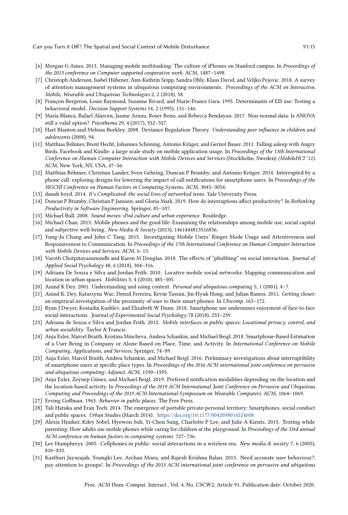- [6] Morgan G Ames. 2013. Managing mobile multitasking: The culture of iPhones on Stanford campus. In Proceedings of the 2013 conference on Computer supported cooperative work. ACM, 1487-1498.
- [7] Christoph Anderson, Isabel Hübener, Ann-Kathrin Seipp, Sandra Ohly, Klaus David, and Veljko Pejovic. 2018. A survey of attention management systems in ubiquitous computing environments. Proceedings of the ACM on Interactive, Mobile, Wearable and Ubiquitous Technologies 2, 2 (2018), 58.
- [8] François Bergeron, Louis Raymond, Suzanne Rivard, and Marie-France Gara. 1995. Determinants of EIS use: Testing a behavioral model. Decision Support Systems 14, 2 (1995), 131-146.
- [9] María Blanca, Rafael Alarcón, Jaume Arnau, Roser Bono, and Rebecca Bendayan. 2017. Non-normal data: Is ANOVA still a valid option? Psicothema 29, 4 (2017), 552-557.
- [10] Hart Blanton and Melissa Burkley. 2008. Deviance Regulation Theory. Understanding peer influence in children and adolescents (2008), 94.
- [11] Matthias Böhmer, Brent Hecht, Johannes Schöning, Antonio Krüger, and Gernot Bauer. 2011. Falling asleep with Angry Birds, Facebook and Kindle: a large scale study on mobile application usage. In Proceedings of the 13th International Conference on Human Computer Interaction with Mobile Devices and Services (Stockholm, Sweden) (MobileHCI '11). ACM, New York, NY, USA, 47-56.
- [12] Matthias Böhmer, Christian Lander, Sven Gehring, Duncan P Brumby, and Antonio Krüger. 2014. Interrupted by a phone call: exploring designs for lowering the impact of call notifications for smartphone users. In Proceedings of the SIGCHI Conference on Human Factors in Computing Systems. ACM, 3045-3054.
- [13] danah boyd. 2014. It's Complicated: the social lives of networked teens. Yale University Press.
- [14] Duncan P Brumby, Christian P Janssen, and Gloria Mark. 2019. How do interruptions affect productivity? In Rethinking Productivity in Software Engineering. Springer, 85-107.
- [15] Michael Bull. 2008. Sound moves: iPod culture and urban experience. Routledge.
- [16] Michael Chan. 2013. Mobile phones and the good life: Examining the relationships among mobile use, social capital and subjective well-being. New Media & Society (2013), 1461444813516836.
- [17] Yung-Ju Chang and John C Tang. 2015. Investigating Mobile Users' Ringer Mode Usage and Attentiveness and Responsiveness to Communication. In Proceedings of the 17th International Conference on Human-Computer Interaction with Mobile Devices and Services. ACM, 6-15.
- [18] Varoth Chotpitayasunondh and Karen M Douglas. 2018. The effects of "phubbing" on social interaction. Journal of Applied Social Psychology 48, 6 (2018), 304-316.
- [19] Adriana De Souza e Silva and Jordan Frith. 2010. Locative mobile social networks: Mapping communication and location in urban spaces. Mobilities 5, 4 (2010), 485-505.
- [20] Anind K Dey. 2001. Understanding and using context. Personal and ubiquitous computing 5, 1 (2001), 4-7.
- [21] Anind K. Dey, Katarzyna Wac, Denzil Ferreira, Kevin Tassini, Jin-Hyuk Hong, and Julian Ramos. 2011. Getting closer: an empirical investigation of the proximity of user to their smart phones. In Ubicomp. 163-172.
- [22] Ryan J Dwyer, Kostadin Kushlev, and Elizabeth W Dunn. 2018. Smartphone use undermines enjoyment of face-to-face social interactions. Journal of Experimental Social Psychology 78 (2018), 233–239.
- [23] Adriana de Souza e Silva and Jordan Frith. 2012. Mobile interfaces in public spaces: Locational privacy, control, and urban sociability. Taylor & Francis.
- [24] Anja Exler, Marcel Braith, Kristina Mincheva, Andrea Schankin, and Michael Beigl. 2018. Smartphone-Based Estimation of a User Being in Company or Alone Based on Place, Time, and Activity. In International Conference on Mobile Computing, Applications, and Services. Springer, 74-89.
- [25] Anja Exler, Marcel Braith, Andrea Schankin, and Michael Beigl. 2016. Preliminary investigations about interruptibility of smartphone users at specific place types. In Proceedings of the 2016 ACM international joint conference on pervasive and ubiquitous computing: Adjunct. ACM, 1590-1595.
- [26] Anja Exler, Zeynep Günes, and Michael Beigl. 2019. Preferred notification modalities depending on the location and the location-based activity. In Proceedings of the 2019 ACM International Joint Conference on Pervasive and Ubiquitous Computing and Proceedings of the 2019 ACM International Symposium on Wearable Computers. ACM, 1064-1069.
- [27] Erving Goffman. 1963. Behavior in public places. The Free Press.
- [28] Tali Hatuka and Eran Toch. 2014. The emergence of portable private-personal territory: Smartphones, social conduct and public spaces. Urban Studies (March 2014). https://doi.org/10.1177/0042098014524608
- [29] Alexis Hiniker, Kiley Sobel, Hyewon Suh, Yi-Chen Sung, Charlotte P Lee, and Julie A Kientz. 2015. Texting while parenting: How adults use mobile phones while caring for children at the playground. In Proceedings of the 33rd annual ACM conference on human factors in computing systems. 727-736.
- [30] Lee Humphreys. 2005. Cellphones in public: social interactions in a wireless era. New media & society 7, 6 (2005),  $810 - 833.$
- [31] Kasthuri Jayarajah, Youngki Lee, Archan Misra, and Rajesh Krishna Balan. 2015. Need accurate user behaviour?: pay attention to groups!. In Proceedings of the 2015 ACM international joint conference on pervasive and ubiquitous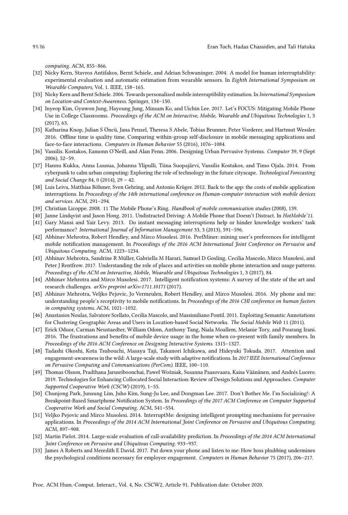computing. ACM, 855-866.

- [32] Nicky Kern, Stavros Antifakos, Bernt Schiele, and Adrian Schwaninger. 2004. A model for human interruptability: experimental evaluation and automatic estimation from wearable sensors. In Eighth International Symposium on Wearable Computers, Vol. 1. IEEE, 158-165.
- [33] Nicky Kern and Bernt Schiele. 2006. Towards personalized mobile interruptibility estimation. In International Symposium on Location-and Context-Awareness. Springer, 134-150.
- [34] Inyeop Kim, Gyuwon Jung, Hayoung Jung, Minsam Ko, and Uichin Lee. 2017. Let's FOCUS: Mitigating Mobile Phone Use in College Classrooms. Proceedings of the ACM on Interactive, Mobile, Wearable and Ubiquitous Technologies 1, 3 (2017), 63.
- [35] Katharina Knop, Julian S Öncü, Jana Penzel, Theresa S Abele, Tobias Brunner, Peter Vorderer, and Hartmut Wessler. 2016. Offline time is quality time. Comparing within-group self-disclosure in mobile messaging applications and face-to-face interactions. Computers in Human Behavior 55 (2016), 1076-1084.
- [36] Vassilis. Kostakos, Eamonn O'Neill, and Alan Penn. 2006. Designing Urban Pervasive Systems. Computer 39, 9 (Sept 2006), 52-59.
- [37] Hannu Kukka, Anna Luusua, Johanna Ylipulli, Tiina Suopajärvi, Vassilis Kostakos, and Timo Ojala. 2014. From cyberpunk to calm urban computing: Exploring the role of technology in the future cityscape. Technological Forecasting and Social Change 84, 0 (2014),  $29 - 42$ .
- [38] Luis Leiva, Matthias Böhmer, Sven Gehring, and Antonio Krüger. 2012. Back to the app: the costs of mobile application interruptions. In Proceedings of the 14th international conference on Human-computer interaction with mobile devices and services. ACM, 291-294.
- [39] Christian Licoppe. 2008. 11 The Mobile Phone's Ring. Handbook of mobile communication studies (2008), 139.
- [40] Janne Lindqvist and Jason Hong. 2011. Undistracted Driving: A Mobile Phone that Doesn't Distract. In HotMobile'11.
- [41] Gary Mansi and Yair Levy. 2013. Do instant messaging interruptions help or hinder knowledge workers' task performance? International Journal of Information Management 33, 3 (2013), 591-596.
- [42] Abhinav Mehrotra, Robert Hendley, and Mirco Musolesi. 2016. PrefMiner: mining user's preferences for intelligent mobile notification management. In Proceedings of the 2016 ACM International Joint Conference on Pervasive and Ubiquitous Computing. ACM, 1223-1234.
- [43] Abhinav Mehrotra, Sandrine R Müller, Gabriella M Harari, Samuel D Gosling, Cecilia Mascolo, Mirco Musolesi, and Peter J Rentfrow. 2017. Understanding the role of places and activities on mobile phone interaction and usage patterns. Proceedings of the ACM on Interactive, Mobile, Wearable and Ubiquitous Technologies 1, 3 (2017), 84.
- [44] Abhinav Mehrotra and Mirco Musolesi. 2017. Intelligent notification systems: A survey of the state of the art and research challenges. arXiv preprint arXiv:1711.10171 (2017).
- [45] Abhinav Mehrotra, Veljko Pejovic, Jo Vermeulen, Robert Hendley, and Mirco Musolesi. 2016. My phone and me: understanding people's receptivity to mobile notifications. In Proceedings of the 2016 CHI conference on human factors in computing systems. ACM, 1021-1032.
- [46] Anastasios Noulas, Salvatore Scellato, Cecilia Mascolo, and Massimiliano Pontil. 2011. Exploiting Semantic Annotations for Clustering Geographic Areas and Users in Location-based Social Networks. The Social Mobile Web 11 (2011).
- [47] Erick Oduor, Carman Neustaedter, William Odom, Anthony Tang, Niala Moallem, Melanie Tory, and Pourang Irani. 2016. The frustrations and benefits of mobile device usage in the home when co-present with family members. In Proceedings of the 2016 ACM Conference on Designing Interactive Systems. 1315-1327.
- [48] Tadashi Okoshi, Kota Tsubouchi, Masaya Taji, Takanori Ichikawa, and Hideyuki Tokuda. 2017. Attention and engagement-awareness in the wild: A large-scale study with adaptive notifications. In 2017 IEEE International Conference on Pervasive Computing and Communications (PerCom). IEEE, 100-110.
- [49] Thomas Olsson, Pradthana Jarusriboonchai, Paweł Woźniak, Susanna Paasovaara, Kaisa Väänänen, and Andrés Lucero. 2019. Technologies for Enhancing Collocated Social Interaction: Review of Design Solutions and Approaches. Computer Supported Cooperative Work (CSCW) (2019), 1-55.
- [50] Chunjong Park, Junsung Lim, Juho Kim, Sung-Ju Lee, and Dongman Lee. 2017. Don't Bother Me. I'm Socializing!: A Breakpoint-Based Smartphone Notification System. In Proceedings of the 2017 ACM Conference on Computer Supported Cooperative Work and Social Computing. ACM, 541-554.
- [51] Veljko Pejovic and Mirco Musolesi. 2014. InterruptMe: designing intelligent prompting mechanisms for pervasive applications. In Proceedings of the 2014 ACM International Joint Conference on Pervasive and Ubiquitous Computing. ACM, 897-908.
- [52] Martin Pielot. 2014. Large-scale evaluation of call-availability prediction. In Proceedings of the 2014 ACM International Joint Conference on Pervasive and Ubiquitous Computing. 933-937.
- [53] James A Roberts and Meredith E David. 2017. Put down your phone and listen to me: How boss phubbing undermines the psychological conditions necessary for employee engagement. Computers in Human Behavior 75 (2017), 206-217.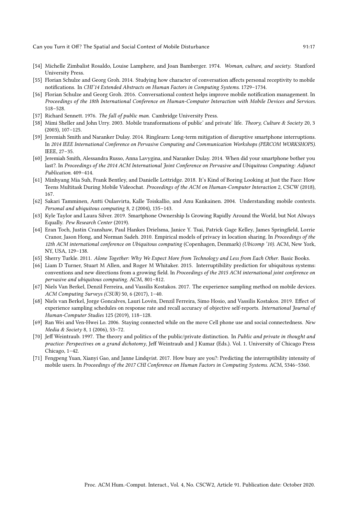- [54] Michelle Zimbalist Rosaldo, Louise Lamphere, and Joan Bamberger. 1974. Woman, culture, and society. Stanford University Press.
- [55] Florian Schulze and Georg Groh. 2014. Studying how character of conversation affects personal receptivity to mobile notifications. In CHI'14 Extended Abstracts on Human Factors in Computing Systems. 1729-1734.
- [56] Florian Schulze and Georg Groh. 2016. Conversational context helps improve mobile notification management. In Proceedings of the 18th International Conference on Human-Computer Interaction with Mobile Devices and Services. 518 - 528.
- [57] Richard Sennett. 1976. The fall of public man. Cambridge University Press.
- [58] Mimi Sheller and John Urry. 2003. Mobile transformations of public' and private' life. Theory, Culture & Society 20, 3  $(2003)$ , 107-125.
- [59] Jeremiah Smith and Naranker Dulay. 2014. Ringlearn: Long-term mitigation of disruptive smartphone interruptions. In 2014 IEEE International Conference on Pervasive Computing and Communication Workshops (PERCOM WORKSHOPS). IEEE, 27-35.
- [60] Jeremiah Smith, Alessandra Russo, Anna Lavygina, and Naranker Dulay. 2014. When did your smartphone bother you last?. In Proceedings of the 2014 ACM International Joint Conference on Pervasive and Ubiquitous Computing: Adjunct Publication. 409-414.
- [61] Minhyang Mia Suh, Frank Bentley, and Danielle Lottridge. 2018. It's Kind of Boring Looking at Just the Face: How Teens Multitask During Mobile Videochat. Proceedings of the ACM on Human-Computer Interaction 2, CSCW (2018), 167.
- [62] Sakari Tamminen, Antti Oulasvirta, Kalle Toiskallio, and Anu Kankainen. 2004. Understanding mobile contexts. Personal and ubiquitous computing 8, 2 (2004), 135-143.
- [63] Kyle Taylor and Laura Silver. 2019. Smartphone Ownership Is Growing Rapidly Around the World, but Not Always Equally. Pew Research Center (2019).
- [64] Eran Toch, Justin Cranshaw, Paul Hankes Drielsma, Janice Y. Tsai, Patrick Gage Kelley, James Springfield, Lorrie Cranor, Jason Hong, and Norman Sadeh. 2010. Empirical models of privacy in location sharing. In Proceedings of the 12th ACM international conference on Ubiquitous computing (Copenhagen, Denmark) (Ubicomp '10). ACM, New York, NY, USA, 129-138.
- [65] Sherry Turkle. 2011. Alone Together: Why We Expect More from Technology and Less from Each Other. Basic Books.
- [66] Liam D Turner, Stuart M Allen, and Roger M Whitaker. 2015. Interruptibility prediction for ubiquitous systems: conventions and new directions from a growing field. In Proceedings of the 2015 ACM international joint conference on pervasive and ubiquitous computing. ACM, 801-812.
- [67] Niels Van Berkel, Denzil Ferreira, and Vassilis Kostakos. 2017. The experience sampling method on mobile devices. ACM Computing Surveys (CSUR) 50, 6 (2017), 1-40.
- [68] Niels van Berkel, Jorge Goncalves, Lauri Lovén, Denzil Ferreira, Simo Hosio, and Vassilis Kostakos. 2019. Effect of experience sampling schedules on response rate and recall accuracy of objective self-reports. International Journal of Human-Computer Studies 125 (2019), 118-128.
- [69] Ran Wei and Ven-Hwei Lo. 2006. Staying connected while on the move Cell phone use and social connectedness. New Media & Society 8, 1 (2006), 53-72.
- [70] Jeff Weintraub. 1997. The theory and politics of the public/private distinction. In Public and private in thought and practice: Perspectives on a grand dichotomy, Jeff Weintraub and J Kumar (Eds.). Vol. 1. University of Chicago Press Chicago, 1-42.
- [71] Fengpeng Yuan, Xianyi Gao, and Janne Lindqvist. 2017. How busy are you?: Predicting the interruptibility intensity of mobile users. In Proceedings of the 2017 CHI Conference on Human Factors in Computing Systems. ACM, 5346-5360.